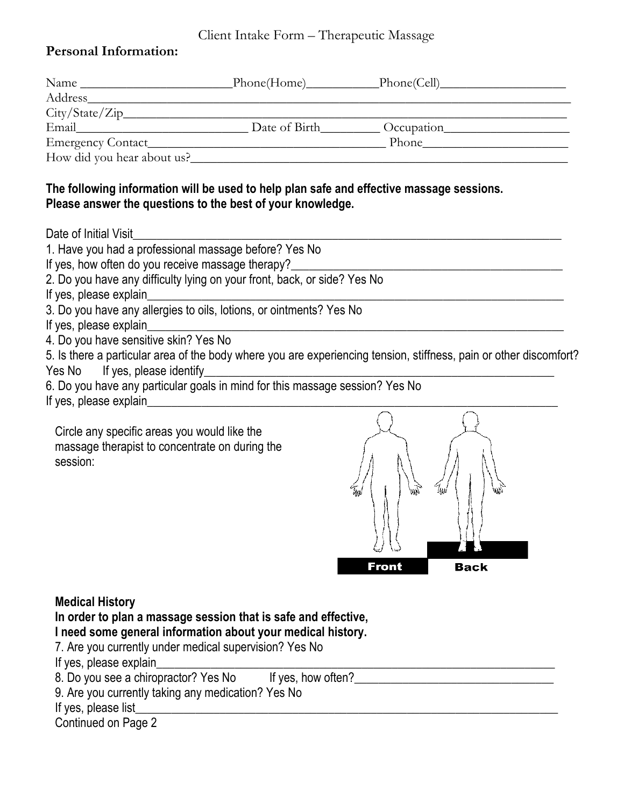## Client Intake Form – Therapeutic Massage

## **Personal Information:**

| Name                       |               | _Phone(Cell)_____ |
|----------------------------|---------------|-------------------|
| <b>Address</b>             |               |                   |
|                            |               |                   |
| Email                      | Date of Birth | Occupation        |
| Emergency Contact_         |               | Phone             |
| How did you hear about us? |               |                   |

## **The following information will be used to help plan safe and effective massage sessions. Please answer the questions to the best of your knowledge.**

Date of Initial Visit

| 1. Have you had a professional massage before? Yes No                                                              |
|--------------------------------------------------------------------------------------------------------------------|
| If yes, how often do you receive massage therapy?                                                                  |
| 2. Do you have any difficulty lying on your front, back, or side? Yes No                                           |
| If yes, please explain                                                                                             |
| 3. Do you have any allergies to oils, lotions, or ointments? Yes No                                                |
| If yes, please explain                                                                                             |
| 4. Do you have sensitive skin? Yes No                                                                              |
| 5. Is there a particular area of the body where you are experiencing tension, stiffness, pain or other discomfort? |
| Yes No If yes, please identify                                                                                     |
| 6. Do you have any particular goals in mind for this massage session? Yes No                                       |
| If yes, please explain                                                                                             |
|                                                                                                                    |

Circle any specific areas you would like the massage therapist to concentrate on during the session:



## **Medical History**

| In order to plan a massage session that is safe and effective, |                    |  |  |  |
|----------------------------------------------------------------|--------------------|--|--|--|
| I need some general information about your medical history.    |                    |  |  |  |
| 7. Are you currently under medical supervision? Yes No         |                    |  |  |  |
| If yes, please explain                                         |                    |  |  |  |
| 8. Do you see a chiropractor? Yes No                           | If yes, how often? |  |  |  |
| 9. Are you currently taking any medication? Yes No             |                    |  |  |  |

If yes, please list

Continued on Page 2